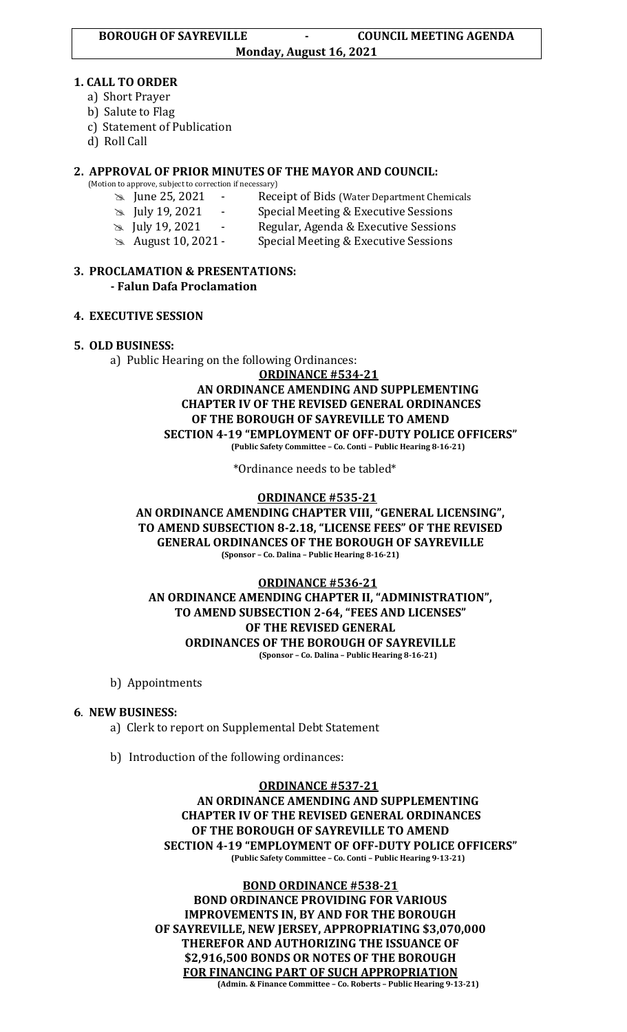#### **1. CALL TO ORDER**

- a) Short Prayer
- b) Salute to Flag
- c) Statement of Publication
- d) Roll Call

# **2. APPROVAL OF PRIOR MINUTES OF THE MAYOR AND COUNCIL:**

(Motion to approve, subject to correction if necessary)

- June 25, 2021 Receipt of Bids (Water Department Chemicals
- July 19, 2021 Special Meeting & Executive Sessions
- July 19, 2021 Regular, Agenda & Executive Sessions
- August 10, 2021 Special Meeting & Executive Sessions

### **3. PROCLAMATION & PRESENTATIONS: - Falun Dafa Proclamation**

### **4. EXECUTIVE SESSION**

# **5. OLD BUSINESS:**

a) Public Hearing on the following Ordinances:

#### **ORDINANCE #534-21 AN ORDINANCE AMENDING AND SUPPLEMENTING CHAPTER IV OF THE REVISED GENERAL ORDINANCES OF THE BOROUGH OF SAYREVILLE TO AMEND SECTION 4-19 "EMPLOYMENT OF OFF-DUTY POLICE OFFICERS" (Public Safety Committee – Co. Conti – Public Hearing 8-16-21)**

\*Ordinance needs to be tabled\*

# **ORDINANCE #535-21**

### **AN ORDINANCE AMENDING CHAPTER VIII, "GENERAL LICENSING", TO AMEND SUBSECTION 8-2.18, "LICENSE FEES" OF THE REVISED GENERAL ORDINANCES OF THE BOROUGH OF SAYREVILLE (Sponsor – Co. Dalina – Public Hearing 8-16-21)**

# **ORDINANCE #536-21 AN ORDINANCE AMENDING CHAPTER II, "ADMINISTRATION", TO AMEND SUBSECTION 2-64, "FEES AND LICENSES" OF THE REVISED GENERAL ORDINANCES OF THE BOROUGH OF SAYREVILLE (Sponsor – Co. Dalina – Public Hearing 8-16-21)**

b) Appointments

# **6**. **NEW BUSINESS:**

- a) Clerk to report on Supplemental Debt Statement
- b) Introduction of the following ordinances:

### **ORDINANCE #537-21 AN ORDINANCE AMENDING AND SUPPLEMENTING CHAPTER IV OF THE REVISED GENERAL ORDINANCES OF THE BOROUGH OF SAYREVILLE TO AMEND SECTION 4-19 "EMPLOYMENT OF OFF-DUTY POLICE OFFICERS" (Public Safety Committee – Co. Conti – Public Hearing 9-13-21)**

**BOND ORDINANCE #538-21 BOND ORDINANCE PROVIDING FOR VARIOUS IMPROVEMENTS IN, BY AND FOR THE BOROUGH OF SAYREVILLE, NEW JERSEY, APPROPRIATING \$3,070,000 THEREFOR AND AUTHORIZING THE ISSUANCE OF \$2,916,500 BONDS OR NOTES OF THE BOROUGH FOR FINANCING PART OF SUCH APPROPRIATION (Admin. & Finance Committee – Co. Roberts – Public Hearing 9-13-21)**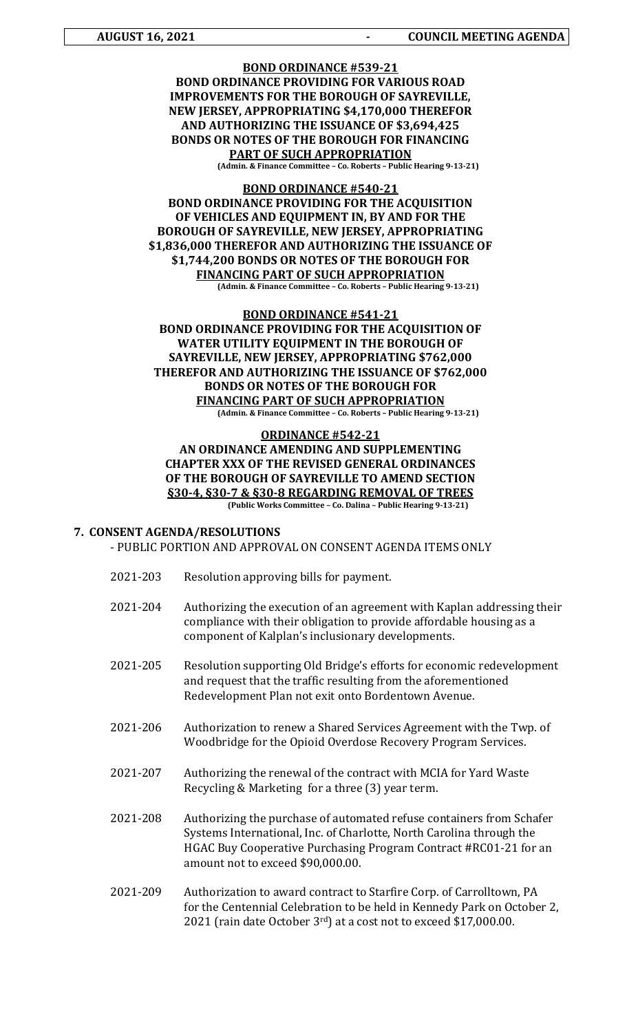# **BOND ORDINANCE #539-21 BOND ORDINANCE PROVIDING FOR VARIOUS ROAD IMPROVEMENTS FOR THE BOROUGH OF SAYREVILLE, NEW JERSEY, APPROPRIATING \$4,170,000 THEREFOR AND AUTHORIZING THE ISSUANCE OF \$3,694,425 BONDS OR NOTES OF THE BOROUGH FOR FINANCING PART OF SUCH APPROPRIATION**

**(Admin. & Finance Committee – Co. Roberts – Public Hearing 9-13-21)**

#### **BOND ORDINANCE #540-21 BOND ORDINANCE PROVIDING FOR THE ACQUISITION OF VEHICLES AND EQUIPMENT IN, BY AND FOR THE BOROUGH OF SAYREVILLE, NEW JERSEY, APPROPRIATING \$1,836,000 THEREFOR AND AUTHORIZING THE ISSUANCE OF \$1,744,200 BONDS OR NOTES OF THE BOROUGH FOR FINANCING PART OF SUCH APPROPRIATION (Admin. & Finance Committee – Co. Roberts – Public Hearing 9-13-21)**

# **BOND ORDINANCE #541-21**

# **BOND ORDINANCE PROVIDING FOR THE ACQUISITION OF WATER UTILITY EQUIPMENT IN THE BOROUGH OF SAYREVILLE, NEW JERSEY, APPROPRIATING \$762,000 THEREFOR AND AUTHORIZING THE ISSUANCE OF \$762,000 BONDS OR NOTES OF THE BOROUGH FOR FINANCING PART OF SUCH APPROPRIATION**

**(Admin. & Finance Committee – Co. Roberts – Public Hearing 9-13-21)**

#### **ORDINANCE #542-21 AN ORDINANCE AMENDING AND SUPPLEMENTING CHAPTER XXX OF THE REVISED GENERAL ORDINANCES OF THE BOROUGH OF SAYREVILLE TO AMEND SECTION §30-4, §30-7 & §30-8 REGARDING REMOVAL OF TREES (Public Works Committee – Co. Dalina – Public Hearing 9-13-21)**

#### **7. CONSENT AGENDA/RESOLUTIONS**

- PUBLIC PORTION AND APPROVAL ON CONSENT AGENDA ITEMS ONLY
- 2021-203 Resolution approving bills for payment.
- 2021-204 Authorizing the execution of an agreement with Kaplan addressing their compliance with their obligation to provide affordable housing as a component of Kalplan's inclusionary developments.
- 2021-205 Resolution supporting Old Bridge's efforts for economic redevelopment and request that the traffic resulting from the aforementioned Redevelopment Plan not exit onto Bordentown Avenue.
- 2021-206 Authorization to renew a Shared Services Agreement with the Twp. of Woodbridge for the Opioid Overdose Recovery Program Services.
- 2021-207 Authorizing the renewal of the contract with MCIA for Yard Waste Recycling & Marketing for a three (3) year term.
- 2021-208 Authorizing the purchase of automated refuse containers from Schafer Systems International, Inc. of Charlotte, North Carolina through the HGAC Buy Cooperative Purchasing Program Contract #RC01-21 for an amount not to exceed \$90,000.00.
- 2021-209 Authorization to award contract to Starfire Corp. of Carrolltown, PA for the Centennial Celebration to be held in Kennedy Park on October 2, 2021 (rain date October 3rd) at a cost not to exceed \$17,000.00.